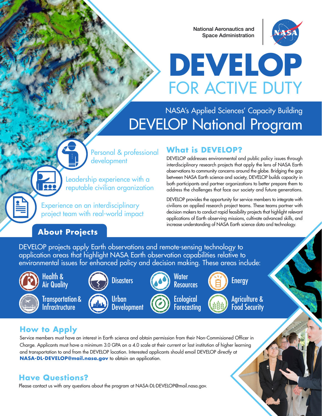National Aeronautics and Space Administration



# **DEVELOP** FOR ACTIVE DUTY

### NASA's Applied Sciences' Capacity Building DEVELOP National Program

Personal & professional development

Leadership experience with a reputable civilian organization

Experience on an interdisciplinary project team with real-world impact

#### **About Projects**

#### **What is DEVELOP?**

DEVELOP addresses environmental and public policy issues through interdisciplinary research projects that apply the lens of NASA Earth observations to community concerns around the globe. Bridging the gap between NASA Earth science and society, DEVELOP builds capacity in both participants and partner organizations to better prepare them to address the challenges that face our society and future generations.

DEVELOP provides the opportunity for service members to integrate with civilians on applied research project teams. These teams partner with decision makers to conduct rapid feasibility projects that highlight relevant applications of Earth observing missions, cultivate advanced skills, and increase understanding of NASA Earth science data and technology.

DEVELOP projects apply Earth observations and remote-sensing technology to application areas that highlight NASA Earth observation capabilities relative to environmental issues for enhanced policy and decision making. These areas include:



#### Health & Air Quality



Transportation & **Infrastructure** 



**Disasters** 









Urban **Development** 





Agriculture & Food Security

#### **How to Apply**

Service members must have an interest in Earth science and obtain permission from their Non-Commisioned Officer in Charge. Applicants must have a minimum 3.0 GPA on a 4.0 scale at their current or last institution of higher learning and transportation to and from the DEVELOP location. Interested applicants should email DEVELOP directly at **NASA-DL-DEVELOP@mail.nasa.gov** to obtain an application.

#### **Have Questions?**

Please contact us with any questions about the program at NASA-DL-DEVELOP@mail.nasa.gov.